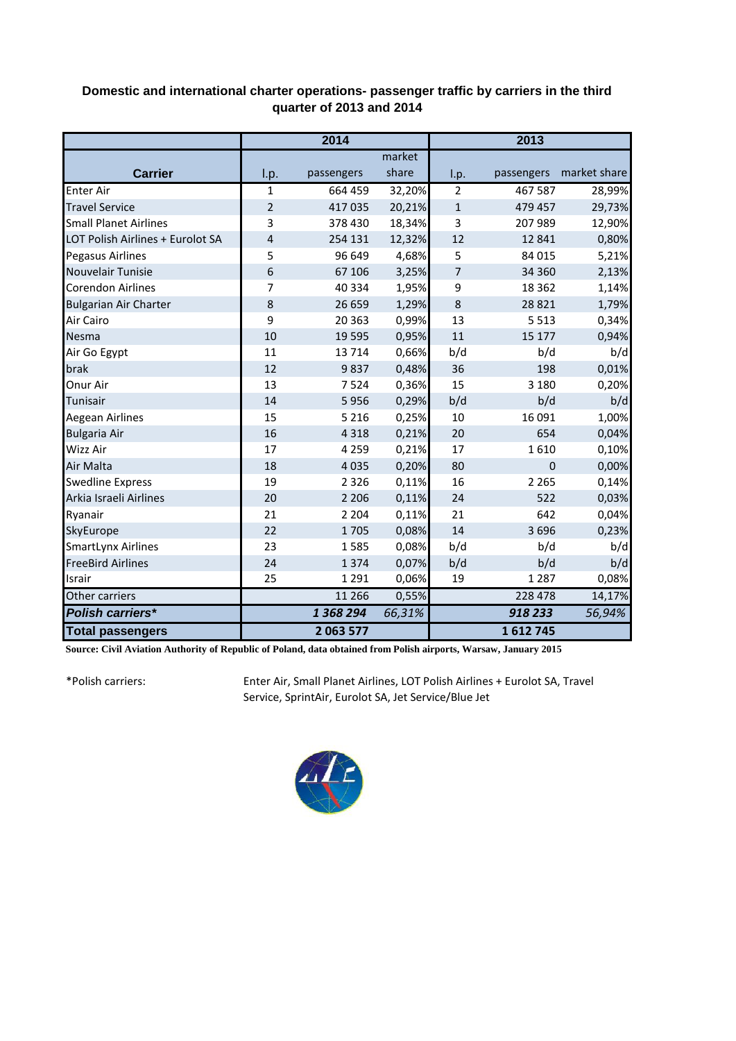## **Domestic and international charter operations- passenger traffic by carriers in the third quarter of 2013 and 2014**

|                                  | 2014           |            |        | 2013           |            |              |
|----------------------------------|----------------|------------|--------|----------------|------------|--------------|
|                                  |                |            | market |                |            |              |
| <b>Carrier</b>                   | I.p.           | passengers | share  | I.p.           | passengers | market share |
| <b>Enter Air</b>                 | $\mathbf 1$    | 664 459    | 32,20% | $\overline{2}$ | 467 587    | 28,99%       |
| <b>Travel Service</b>            | $\overline{2}$ | 417035     | 20,21% | $\mathbf 1$    | 479 457    | 29,73%       |
| <b>Small Planet Airlines</b>     | 3              | 378 430    | 18,34% | 3              | 207 989    | 12,90%       |
| LOT Polish Airlines + Eurolot SA | $\overline{4}$ | 254 131    | 12,32% | 12             | 12 841     | 0,80%        |
| Pegasus Airlines                 | 5              | 96 649     | 4,68%  | 5              | 84 015     | 5,21%        |
| Nouvelair Tunisie                | 6              | 67 106     | 3,25%  | 7              | 34 360     | 2,13%        |
| <b>Corendon Airlines</b>         | 7              | 40 3 34    | 1,95%  | 9              | 18 3 62    | 1,14%        |
| <b>Bulgarian Air Charter</b>     | 8              | 26 659     | 1,29%  | 8              | 28 8 21    | 1,79%        |
| Air Cairo                        | 9              | 20 3 6 3   | 0,99%  | 13             | 5 5 1 3    | 0,34%        |
| Nesma                            | 10             | 19 5 95    | 0,95%  | 11             | 15 177     | 0,94%        |
| Air Go Egypt                     | 11             | 13714      | 0,66%  | b/d            | b/d        | b/d          |
| brak                             | 12             | 9837       | 0,48%  | 36             | 198        | 0,01%        |
| Onur Air                         | 13             | 7524       | 0,36%  | 15             | 3 1 8 0    | 0,20%        |
| Tunisair                         | 14             | 5956       | 0,29%  | b/d            | b/d        | b/d          |
| Aegean Airlines                  | 15             | 5 2 1 6    | 0,25%  | 10             | 16 091     | 1,00%        |
| <b>Bulgaria Air</b>              | 16             | 4 3 1 8    | 0,21%  | 20             | 654        | 0,04%        |
| Wizz Air                         | 17             | 4 2 5 9    | 0,21%  | 17             | 1610       | 0,10%        |
| Air Malta                        | 18             | 4 0 3 5    | 0,20%  | 80             | $\Omega$   | 0,00%        |
| <b>Swedline Express</b>          | 19             | 2 3 2 6    | 0,11%  | 16             | 2 2 6 5    | 0,14%        |
| Arkia Israeli Airlines           | 20             | 2 2 0 6    | 0,11%  | 24             | 522        | 0,03%        |
| Ryanair                          | 21             | 2 2 0 4    | 0,11%  | 21             | 642        | 0,04%        |
| SkyEurope                        | 22             | 1705       | 0,08%  | 14             | 3696       | 0,23%        |
| <b>SmartLynx Airlines</b>        | 23             | 1585       | 0,08%  | b/d            | b/d        | b/d          |
| <b>FreeBird Airlines</b>         | 24             | 1374       | 0,07%  | b/d            | b/d        | b/d          |
| Israir                           | 25             | 1 2 9 1    | 0,06%  | 19             | 1 2 8 7    | 0,08%        |
| Other carriers                   |                | 11 266     | 0,55%  |                | 228 478    | 14,17%       |
| <b>Polish carriers*</b>          |                | 1 368 294  | 66,31% |                | 918 233    | 56,94%       |
| <b>Total passengers</b>          |                | 2 063 577  |        |                | 1612745    |              |

**Source: Civil Aviation Authority of Republic of Poland, data obtained from Polish airports, Warsaw, January 2015**

\*Polish carriers:

Enter Air, Small Planet Airlines, LOT Polish Airlines + Eurolot SA, Travel Service, SprintAir, Eurolot SA, Jet Service/Blue Jet